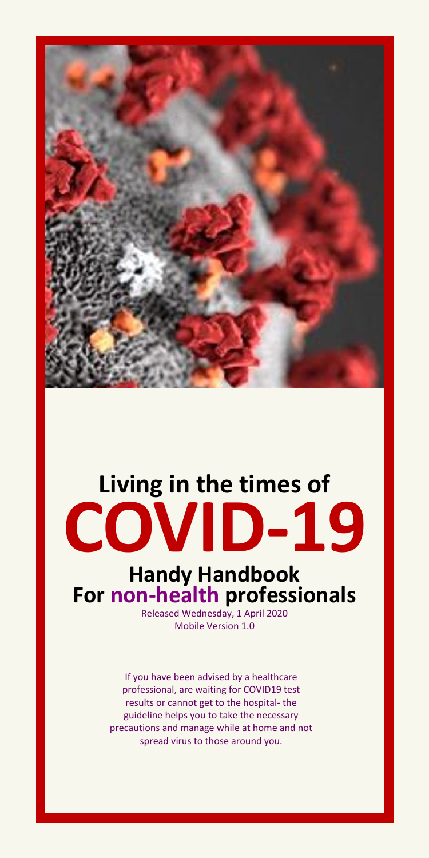

# **Living in the times of COVID-19**

# **Handy Handbook For non-health professionals**

Released Wednesday, 1 April 2020 Mobile Version 1.0

If you have been advised by a healthcare professional, are waiting for COVID19 test results or cannot get to the hospital- the guideline helps you to take the necessary precautions and manage while at home and not spread virus to those around you.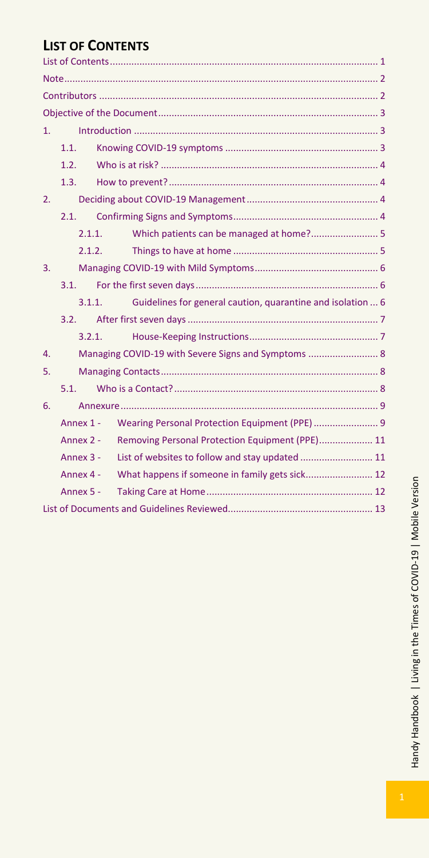## <span id="page-1-0"></span>**LIST OF CONTENTS**

| 1. |                                                                       |                                                     |  |  |
|----|-----------------------------------------------------------------------|-----------------------------------------------------|--|--|
|    | 1.1.                                                                  |                                                     |  |  |
|    | 1.2.                                                                  |                                                     |  |  |
|    | 1.3.                                                                  |                                                     |  |  |
| 2. |                                                                       |                                                     |  |  |
|    | 21                                                                    |                                                     |  |  |
|    | 2.1.1.                                                                | Which patients can be managed at home? 5            |  |  |
|    | 2.1.2.                                                                |                                                     |  |  |
| 3. |                                                                       |                                                     |  |  |
|    | 31                                                                    |                                                     |  |  |
|    | Guidelines for general caution, quarantine and isolation  6<br>3.1.1. |                                                     |  |  |
|    | 3.2.                                                                  |                                                     |  |  |
|    | 3.2.1.                                                                |                                                     |  |  |
| 4. |                                                                       | Managing COVID-19 with Severe Signs and Symptoms  8 |  |  |
| 5. |                                                                       |                                                     |  |  |
|    | $51 -$                                                                |                                                     |  |  |
| 6. |                                                                       |                                                     |  |  |
|    | Annex 1 -                                                             | Wearing Personal Protection Equipment (PPE)  9      |  |  |
|    | Annex 2 -                                                             | Removing Personal Protection Equipment (PPE) 11     |  |  |
|    | Annex 3 -                                                             | List of websites to follow and stay updated  11     |  |  |
|    | Annex 4 -                                                             | What happens if someone in family gets sick 12      |  |  |
|    | Annex 5 -                                                             |                                                     |  |  |
|    |                                                                       |                                                     |  |  |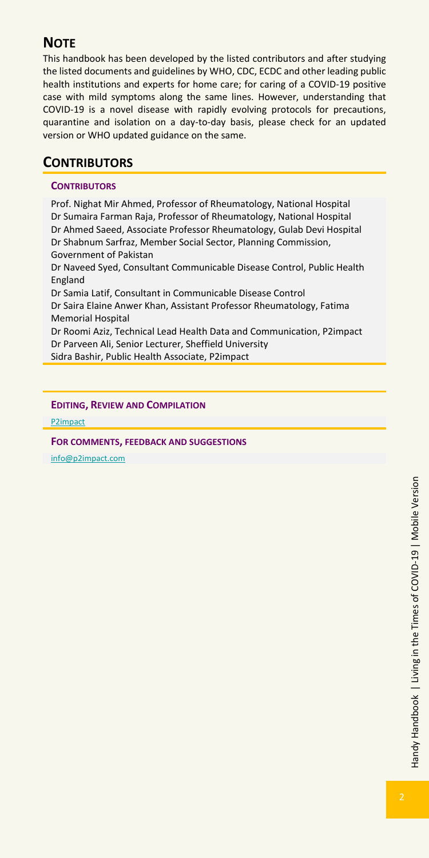## <span id="page-2-0"></span>**NOTE**

This handbook has been developed by the listed contributors and after studying the listed documents and guidelines by WHO, CDC, ECDC and other leading public health institutions and experts for home care; for caring of a COVID-19 positive case with mild symptoms along the same lines. However, understanding that COVID-19 is a novel disease with rapidly evolving protocols for precautions, quarantine and isolation on a day-to-day basis, please check for an updated version or WHO updated guidance on the same.

## <span id="page-2-1"></span>**CONTRIBUTORS**

#### **CONTRIBUTORS**

Prof. Nighat Mir Ahmed, Professor of Rheumatology, National Hospital Dr Sumaira Farman Raja, Professor of Rheumatology, National Hospital Dr Ahmed Saeed, Associate Professor Rheumatology, Gulab Devi Hospital Dr Shabnum Sarfraz, Member Social Sector, Planning Commission, Government of Pakistan Dr Naveed Syed, Consultant Communicable Disease Control, Public Health England

Dr Samia Latif, Consultant in Communicable Disease Control Dr Saira Elaine Anwer Khan, Assistant Professor Rheumatology, Fatima Memorial Hospital

Dr Roomi Aziz, Technical Lead Health Data and Communication, P2impact Dr Parveen Ali, Senior Lecturer, Sheffield University Sidra Bashir, Public Health Associate, P2impact

#### **EDITING, REVIEW AND COMPILATION**

[P2impact](http://www.p2impact.com/)

**FOR COMMENTS, FEEDBACK AND SUGGESTIONS**

[info@p2impact.com](file:///C:/Users/Roomi%20Aziz/AppData/Roaming/Microsoft/Word/info@p2impact.com)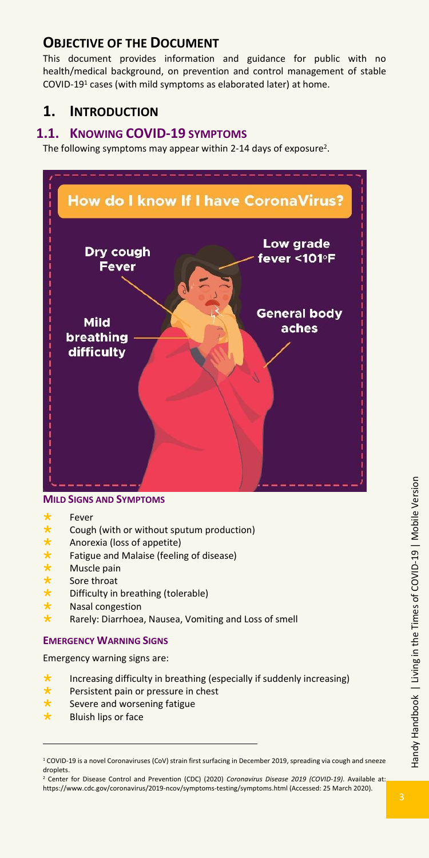## <span id="page-3-0"></span>**OBJECTIVE OF THE DOCUMENT**

This document provides information and guidance for public with no health/medical background, on prevention and control management of stable COVID-19<sup>1</sup> cases (with mild symptoms as elaborated later) at home.

## <span id="page-3-1"></span>**1. INTRODUCTION**

## <span id="page-3-2"></span>**1.1. KNOWING COVID-19 SYMPTOMS**

The following symptoms may appear within 2-14 days of exposure<sup>2</sup>.



#### **MILD SIGNS AND SYMPTOMS**

- $\star$  Fever<br> $\star$  Cough
- **\*** Cough (with or without sputum production)<br>**\*** Anorexia (loss of appetite)
- **\*** Anorexia (loss of appetite)<br>**\*** Fatigue and Malaise (feeling)
- **\*** Fatigue and Malaise (feeling of disease)<br>**\*** Muscle pain<br>**\*** Sore throat
- Muscle pain
- $\star$  Sore throat<br>  $\star$  Difficulty in
- Difficulty in breathing (tolerable)
- Nasal congestion
- Rarely: Diarrhoea, Nausea, Vomiting and Loss of smell

#### **EMERGENCY WARNING SIGNS**

Emergency warning signs are:

- Increasing difficulty in breathing (especially if suddenly increasing)
- **\*** Persistent pain or pressure in chest<br>**\*** Severe and worsening fatigue
- Severe and worsening fatigue
- $\star$  Bluish lips or face

<sup>1</sup> COVID-19 is a novel Coronaviruses (CoV) strain first surfacing in December 2019, spreading via cough and sneeze droplets.

<sup>2</sup> Center for Disease Control and Prevention (CDC) (2020) *Coronavirus Disease 2019 (COVID-19)*. Available at: https://www.cdc.gov/coronavirus/2019-ncov/symptoms-testing/symptoms.html (Accessed: 25 March 2020).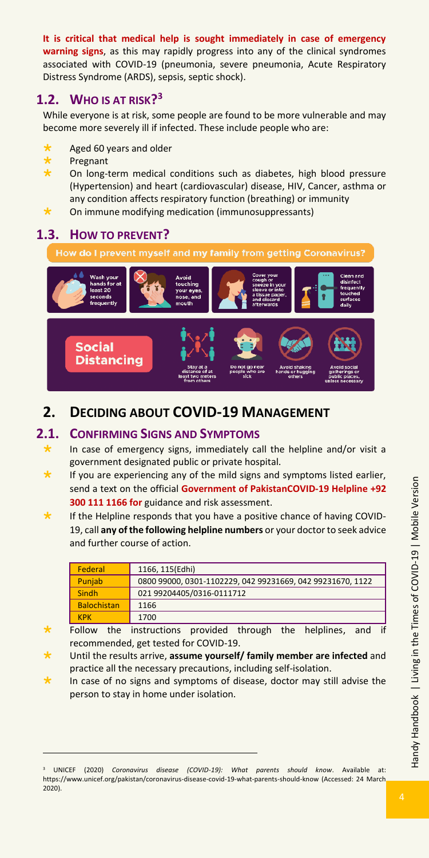**It is critical that medical help is sought immediately in case of emergency warning signs**, as this may rapidly progress into any of the clinical syndromes associated with COVID-19 (pneumonia, severe pneumonia, Acute Respiratory Distress Syndrome (ARDS), sepsis, septic shock).

## <span id="page-4-0"></span>**1.2. WHO IS AT RISK? 3**

While everyone is at risk, some people are found to be more vulnerable and may become more severely ill if infected. These include people who are:

- Aged 60 years and older
- Pregnant
- On long-term medical conditions such as diabetes, high blood pressure (Hypertension) and heart (cardiovascular) disease, HIV, Cancer, asthma or any condition affects respiratory function (breathing) or immunity
- On immune modifying medication (immunosuppressants)

## <span id="page-4-1"></span>**1.3. HOW TO PREVENT?**



## <span id="page-4-2"></span>**2. DECIDING ABOUT COVID-19 MANAGEMENT**

## <span id="page-4-3"></span>**2.1. CONFIRMING SIGNS AND SYMPTOMS**

- In case of emergency signs, immediately call the helpline and/or visit a government designated public or private hospital.
- If you are experiencing any of the mild signs and symptoms listed earlier, send a text on the official **Government of PakistanCOVID-19 Helpline +92 300 111 1166 for** guidance and risk assessment.
- If the Helpline responds that you have a positive chance of having COVID-19, call **any of the following helpline numbers** or your doctor to seek advice and further course of action.

| <b>Federal</b>     | 1166, 115(Edhi)                                            |
|--------------------|------------------------------------------------------------|
| Punjab             | 0800 99000, 0301-1102229, 042 99231669, 042 99231670, 1122 |
| Sindh              | 021 99204405/0316-0111712                                  |
| <b>Balochistan</b> | 1166                                                       |
| <b>KPK</b>         | 1700                                                       |

- Follow the instructions provided through the helplines, and if recommended, get tested for COVID-19.
- Until the results arrive, **assume yourself/ family member are infected** and practice all the necessary precautions, including self-isolation.
- In case of no signs and symptoms of disease, doctor may still advise the person to stay in home under isolation.

Handy Handbook | Living in the Times of COVID-19 | Mobile Version Handy Handbook | Living in the Times of COVID-19 | Mobile Version

<sup>3</sup> UNICEF (2020) *Coronavirus disease (COVID-19): What parents should know*. Available at: https://www.unicef.org/pakistan/coronavirus-disease-covid-19-what-parents-should-know (Accessed: 24 March 2020).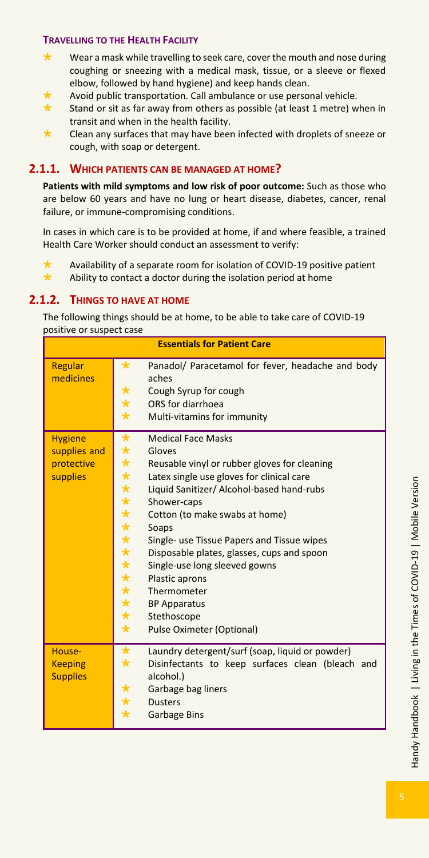#### **TRAVELLING TO THE HEALTH FACILITY**

- Wear a mask while travelling to seek care, cover the mouth and nose during coughing or sneezing with a medical mask, tissue, or a sleeve or flexed elbow, followed by hand hygiene) and keep hands clean.
- Avoid public transportation. Call ambulance or use personal vehicle.
- Stand or sit as far away from others as possible (at least 1 metre) when in transit and when in the health facility.
- $\star$  Clean any surfaces that may have been infected with droplets of sneeze or cough, with soap or detergent.

#### <span id="page-5-0"></span>**2.1.1. WHICH PATIENTS CAN BE MANAGED AT HOME?**

**Patients with mild symptoms and low risk of poor outcome:** Such as those who are below 60 years and have no lung or heart disease, diabetes, cancer, renal failure, or immune-compromising conditions.

In cases in which care is to be provided at home, if and where feasible, a trained Health Care Worker should conduct an assessment to verify:

 Availability of a separate room for isolation of COVID-19 positive patient  $\star$  Ability to contact a doctor during the isolation period at home

#### <span id="page-5-1"></span>**2.1.2. THINGS TO HAVE AT HOME**

The following things should be at home, to be able to take care of COVID-19 positive or suspect case

| <b>Essentials for Patient Care</b>                       |                                                                                                                                                                                                                                                                                                                                                                                                                                                                                                                                                                                                                                                          |  |  |  |  |  |  |
|----------------------------------------------------------|----------------------------------------------------------------------------------------------------------------------------------------------------------------------------------------------------------------------------------------------------------------------------------------------------------------------------------------------------------------------------------------------------------------------------------------------------------------------------------------------------------------------------------------------------------------------------------------------------------------------------------------------------------|--|--|--|--|--|--|
| Regular<br>medicines                                     | $\star$<br>Panadol/ Paracetamol for fever, headache and body<br>aches<br>$\star$<br>Cough Syrup for cough<br>$\star$<br>ORS for diarrhoea<br>$\star$<br>Multi-vitamins for immunity                                                                                                                                                                                                                                                                                                                                                                                                                                                                      |  |  |  |  |  |  |
| <b>Hygiene</b><br>supplies and<br>protective<br>supplies | $\star$<br><b>Medical Face Masks</b><br>$\star$<br>Gloves<br>$\star$<br>Reusable vinyl or rubber gloves for cleaning<br>$\star$<br>Latex single use gloves for clinical care<br>$\star$<br>Liquid Sanitizer/ Alcohol-based hand-rubs<br>$\star$<br>Shower-caps<br>$\star$<br>Cotton (to make swabs at home)<br>$\star$<br>Soaps<br>$\star$<br>Single- use Tissue Papers and Tissue wipes<br>$\star$<br>Disposable plates, glasses, cups and spoon<br>$\star$<br>Single-use long sleeved gowns<br>$\star$<br>Plastic aprons<br>$\star$<br>Thermometer<br>$\star$<br><b>BP Apparatus</b><br>$\star$<br>Stethoscope<br>$\star$<br>Pulse Oximeter (Optional) |  |  |  |  |  |  |
| House-<br><b>Keeping</b><br><b>Supplies</b>              | $\star$<br>Laundry detergent/surf (soap, liquid or powder)<br>$\star$<br>Disinfectants to keep surfaces clean (bleach and<br>alcohol.)<br>$\star$<br>Garbage bag liners<br>$\star$<br><b>Dusters</b><br>$\star$<br><b>Garbage Bins</b>                                                                                                                                                                                                                                                                                                                                                                                                                   |  |  |  |  |  |  |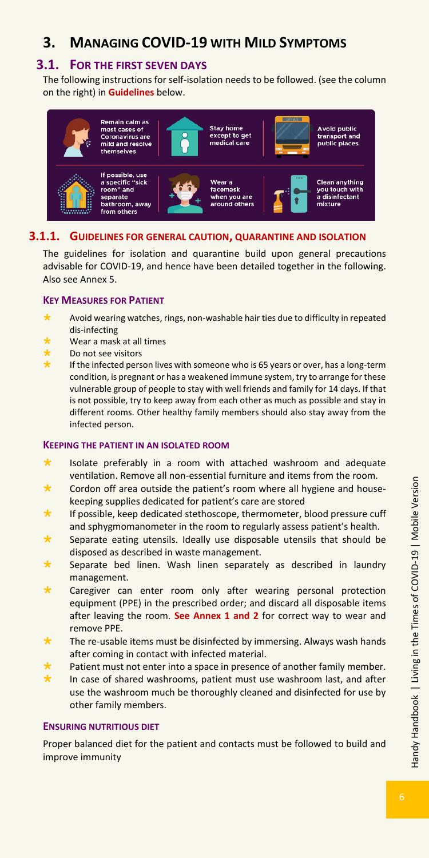## <span id="page-6-0"></span>**3. MANAGING COVID-19 WITH MILD SYMPTOMS**

### <span id="page-6-1"></span>**3.1. FOR THE FIRST SEVEN DAYS**

The following instructions for self-isolation needs to be followed. (see the column on the right) in **Guidelines** below.



#### <span id="page-6-2"></span>**3.1.1. GUIDELINES FOR GENERAL CAUTION, QUARANTINE AND ISOLATION**

The guidelines for isolation and quarantine build upon general precautions advisable for COVID-19, and hence have been detailed together in the following. Also see Annex 5.

#### **KEY MEASURES FOR PATIENT**

- Avoid wearing watches, rings, non-washable hair ties due to difficulty in repeated dis-infecting
- Wear a mask at all times
- Do not see visitors
- If the infected person lives with someone who is 65 years or over, has a long-term condition, is pregnant or has a weakened immune system, try to arrange for these vulnerable group of people to stay with well friends and family for 14 days. If that is not possible, try to keep away from each other as much as possible and stay in different rooms. Other healthy family members should also stay away from the infected person.

#### **KEEPING THE PATIENT IN AN ISOLATED ROOM**

- $\star$  Isolate preferably in a room with attached washroom and adequate ventilation. Remove all non-essential furniture and items from the room.
- Cordon off area outside the patient's room where all hygiene and housekeeping supplies dedicated for patient's care are stored
- If possible, keep dedicated stethoscope, thermometer, blood pressure cuff and sphygmomanometer in the room to regularly assess patient's health.
- Separate eating utensils. Ideally use disposable utensils that should be disposed as described in waste management.
- Separate bed linen. Wash linen separately as described in laundry management.
- Caregiver can enter room only after wearing personal protection equipment (PPE) in the prescribed order; and discard all disposable items after leaving the room. **See Annex 1 and 2** for correct way to wear and remove PPE.
- The re-usable items must be disinfected by immersing. Always wash hands after coming in contact with infected material.
- Patient must not enter into a space in presence of another family member.
- In case of shared washrooms, patient must use washroom last, and after use the washroom much be thoroughly cleaned and disinfected for use by other family members.

#### **ENSURING NUTRITIOUS DIET**

Proper balanced diet for the patient and contacts must be followed to build and improve immunity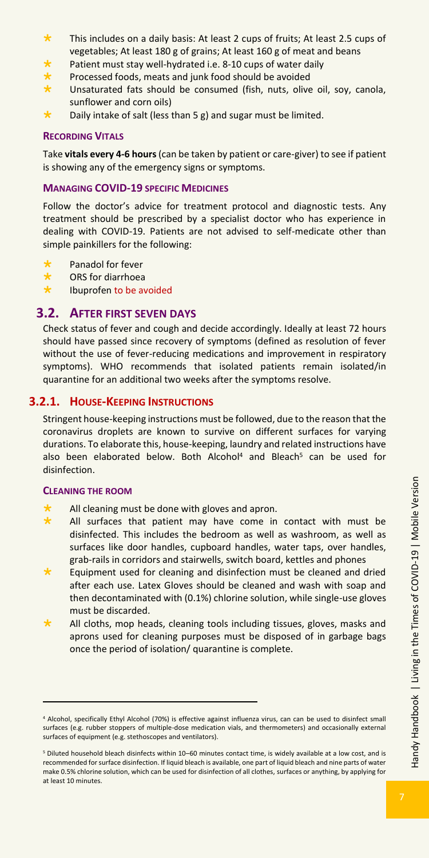- \* This includes on a daily basis: At least 2 cups of fruits; At least 2.5 cups of vegetables; At least 180 g of grains; At least 160 g of meat and beans
- Patient must stay well-hydrated i.e. 8-10 cups of water daily
- Processed foods, meats and junk food should be avoided
- Unsaturated fats should be consumed (fish, nuts, olive oil, soy, canola, sunflower and corn oils)
- Daily intake of salt (less than 5 g) and sugar must be limited.

#### **RECORDING VITALS**

Take **vitals every 4-6 hours** (can be taken by patient or care-giver) to see if patient is showing any of the emergency signs or symptoms.

#### **MANAGING COVID-19 SPECIFIC MEDICINES**

Follow the doctor's advice for treatment protocol and diagnostic tests. Any treatment should be prescribed by a specialist doctor who has experience in dealing with COVID-19. Patients are not advised to self-medicate other than simple painkillers for the following:

- Panadol for fever
- ORS for diarrhoea
- \* Ibuprofen to be avoided

#### <span id="page-7-0"></span>**3.2. AFTER FIRST SEVEN DAYS**

Check status of fever and cough and decide accordingly. Ideally at least 72 hours should have passed since recovery of symptoms (defined as resolution of fever without the use of fever-reducing medications and improvement in respiratory symptoms). WHO recommends that isolated patients remain isolated/in quarantine for an additional two weeks after the symptoms resolve.

#### <span id="page-7-1"></span>**3.2.1. HOUSE-KEEPING INSTRUCTIONS**

Stringent house-keeping instructions must be followed, due to the reason that the coronavirus droplets are known to survive on different surfaces for varying durations. To elaborate this, house-keeping, laundry and related instructions have also been elaborated below. Both Alcohol<sup>4</sup> and Bleach<sup>5</sup> can be used for disinfection.

#### **CLEANING THE ROOM**

- All cleaning must be done with gloves and apron.
- All surfaces that patient may have come in contact with must be disinfected. This includes the bedroom as well as washroom, as well as surfaces like door handles, cupboard handles, water taps, over handles, grab-rails in corridors and stairwells, switch board, kettles and phones
- Equipment used for cleaning and disinfection must be cleaned and dried after each use. Latex Gloves should be cleaned and wash with soap and then decontaminated with (0.1%) chlorine solution, while single-use gloves must be discarded.
- All cloths, mop heads, cleaning tools including tissues, gloves, masks and aprons used for cleaning purposes must be disposed of in garbage bags once the period of isolation/ quarantine is complete.

<sup>4</sup> Alcohol, specifically Ethyl Alcohol (70%) is effective against influenza virus, can can be used to disinfect small surfaces (e.g. rubber stoppers of multiple-dose medication vials, and thermometers) and occasionally external surfaces of equipment (e.g. stethoscopes and ventilators).

<sup>5</sup> Diluted household bleach disinfects within 10–60 minutes contact time, is widely available at a low cost, and is recommended for surface disinfection. If liquid bleach is available, one part of liquid bleach and nine parts of water make 0.5% chlorine solution, which can be used for disinfection of all clothes, surfaces or anything, by applying for at least 10 minutes.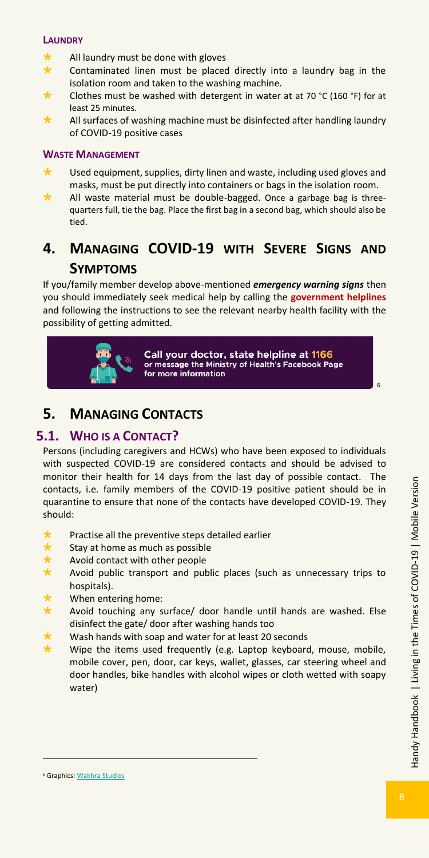#### **LAUNDRY**

- All laundry must be done with gloves
- Contaminated linen must be placed directly into a laundry bag in the isolation room and taken to the washing machine.
- Clothes must be washed with detergent in water at at 70 °C (160 °F) for at least 25 minutes.
- All surfaces of washing machine must be disinfected after handling laundry of COVID-19 positive cases

#### **WASTE MANAGEMENT**

- Used equipment, supplies, dirty linen and waste, including used gloves and masks, must be put directly into containers or bags in the isolation room.
- All waste material must be double-bagged. Once a garbage bag is threequarters full, tie the bag. Place the first bag in a second bag, which should also be tied.

## <span id="page-8-0"></span>**4. MANAGING COVID-19 WITH SEVERE SIGNS AND SYMPTOMS**

If you/family member develop above-mentioned *emergency warning signs* then you should immediately seek medical help by calling the **government helplines**  and following the instructions to see the relevant nearby health facility with the possibility of getting admitted.



Call your doctor, state helpline at 1166 or message the Ministry of Health's Facebook Page for more information

## <span id="page-8-1"></span>**5. MANAGING CONTACTS**

## <span id="page-8-2"></span>**5.1. WHO IS A CONTACT?**

Persons (including caregivers and HCWs) who have been exposed to individuals with suspected COVID-19 are considered contacts and should be advised to monitor their health for 14 days from the last day of possible contact. The contacts, i.e. family members of the COVID-19 positive patient should be in quarantine to ensure that none of the contacts have developed COVID-19. They should:

- **\*** Practise all the preventive steps detailed earlier<br>**\*** Stay at home as much as possible
- Stay at home as much as possible
- Avoid contact with other people
- Avoid public transport and public places (such as unnecessary trips to hospitals).
- When entering home:
- Avoid touching any surface/ door handle until hands are washed. Else disinfect the gate/ door after washing hands too
- Wash hands with soap and water for at least 20 seconds
- Wipe the items used frequently (e.g. Laptop keyboard, mouse, mobile, mobile cover, pen, door, car keys, wallet, glasses, car steering wheel and door handles, bike handles with alcohol wipes or cloth wetted with soapy water)

6

<sup>6</sup> Graphic[s: Wakhra Studios](file:///C:/Users/Roomi%20Aziz/Desktop/Wakhrastudios.com)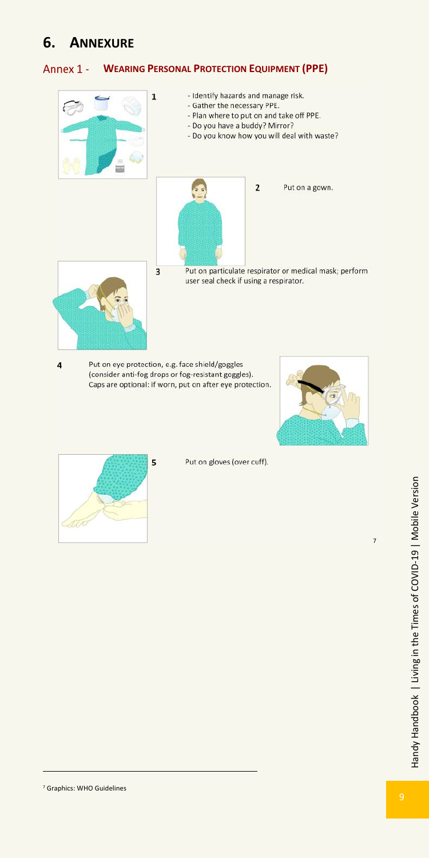## <span id="page-9-0"></span>**6. ANNEXURE**

#### <span id="page-9-1"></span>Annex 1 -**WEARING PERSONAL PROTECTION EQUIPMENT (PPE)**



Put on eye protection, e.g. face shield/goggles (consider anti-fog drops or fog-resistant goggles). Caps are optional: if worn, put on after eye protection.





4

Put on gloves (over cuff).

7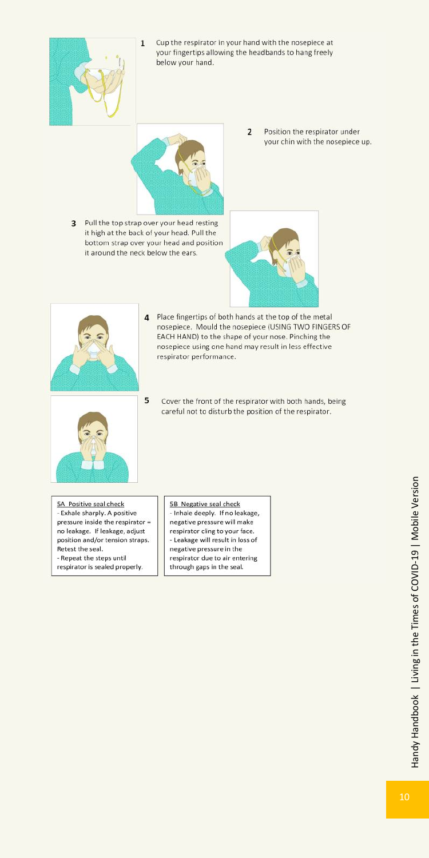

Cup the respirator in your hand with the nosepiece at your fingertips allowing the headbands to hang freely below your hand.



- 3 Pull the top strap over your head resting it high at the back of your head. Pull the bottom strap over your head and position it around the neck below the ears.
- $\overline{2}$ Position the respirator under your chin with the nosepiece up.





- 4 Place fingertips of both hands at the top of the metal nosepiece. Mould the nosepiece (USING TWO FINGERS OF EACH HAND) to the shape of your nose. Pinching the nosepiece using one hand may result in less effective respirator performance.
- 5 Cover the front of the respirator with both hands, being careful not to disturb the position of the respirator.

5A Positive seal check - Exhale sharply. A positive pressure inside the respirator = no leakage. If leakage, adjust position and/or tension straps. Retest the seal. - Repeat the steps until respirator is sealed properly.

5B Negative seal check - Inhale deeply. If no leakage, negative pressure will make respirator cling to your face. - Leakage will result in loss of negative pressure in the respirator due to air entering through gaps in the seal.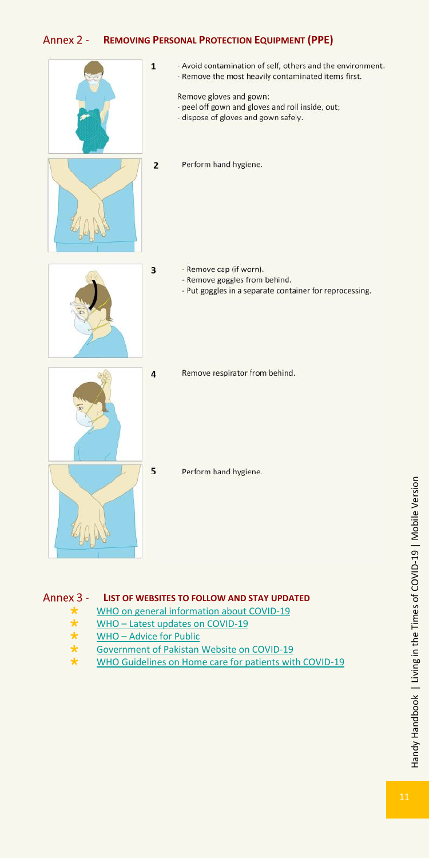#### <span id="page-11-0"></span>Annex 2 -**REMOVING PERSONAL PROTECTION EQUIPMENT (PPE)**

 $\mathbf{1}$ 

 $\overline{\mathbf{3}}$ 



- Avoid contamination of self, others and the environment. - Remove the most heavily contaminated items first.

Remove gloves and gown: - peel off gown and gloves and roll inside, out; - dispose of gloves and gown safely.

 $\overline{2}$ Perform hand hygiene.

- Remove cap (if worn).
	- Remove goggles from behind.
	- Put goggles in a separate container for reprocessing.



Remove respirator from behind.

Perform hand hygiene.

- <span id="page-11-1"></span>Annex 3 -**LIST OF WEBSITES TO FOLLOW AND STAY UPDATED**
	- $\star$  [WHO on general information about COVID-19](https://www.who.int/health-topics/coronavirus#tab=tab_1)<br> $\star$  WHO Latest undates on COVID-19
	- $\star$  WHO [Latest updates on COVID-19](https://www.who.int/emergencies/diseases/novel-coronavirus-2019)<br> $\star$  WHO Advice for Public
	- $\star$  WHO [Advice for Public](https://www.who.int/emergencies/diseases/novel-coronavirus-2019/advice-for-public)<br>
	Government of Pakistan
	- ★ [Government of Pakistan Website on COVID-19](http://covid.gov.pk/)<br>★ WHO Guidelines on Home care for patients wit
	- [WHO Guidelines on Home care for patients with COVID-19](https://www.who.int/publications-detail/home-care-for-patients-with-suspected-novel-coronavirus-(ncov)-infection-presenting-with-mild-symptoms-and-management-of-contacts)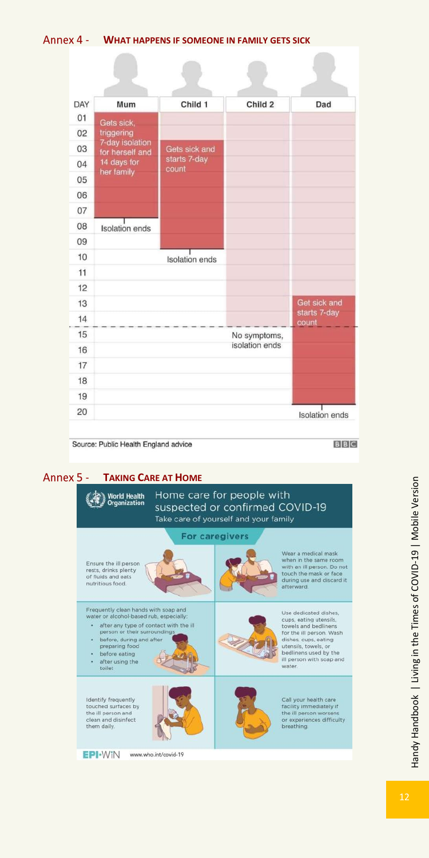#### <span id="page-12-0"></span>**WHAT HAPPENS IF SOMEONE IN FAMILY GETS SICK**

 $\sqrt{2}$ 

| DAY | Mum                                | Child 1               | Child <sub>2</sub> | Dad                   |
|-----|------------------------------------|-----------------------|--------------------|-----------------------|
| 01  | Gets sick,                         |                       |                    |                       |
| 02  | triggering                         |                       |                    |                       |
| 03  | 7-day isolation<br>for herself and | Gets sick and         |                    |                       |
| 04  | 14 days for<br>her family          | starts 7-day<br>count |                    |                       |
| 05  |                                    |                       |                    |                       |
| 06  |                                    |                       |                    |                       |
| 07  |                                    |                       |                    |                       |
| 08  | <b>Isolation</b> ends              |                       |                    |                       |
| 09  |                                    |                       |                    |                       |
| 10  |                                    | <b>Isolation</b> ends |                    |                       |
| 11  |                                    |                       |                    |                       |
| 12  |                                    |                       |                    |                       |
| 13  |                                    |                       |                    | Get sick and          |
| 14  |                                    |                       |                    | starts 7-day<br>count |
| 15  |                                    |                       | No symptoms,       |                       |
| 16  |                                    |                       | isolation ends     |                       |
| 17  |                                    |                       |                    |                       |
| 18  |                                    |                       |                    |                       |
| 19  |                                    |                       |                    |                       |
| 20  |                                    |                       |                    | <b>Isolation</b> ends |

Source: Public Health England advice

**BBC** 

 $\sqrt{2}$ 

## <span id="page-12-1"></span>**Annex 5 - TAKING CARE AT HOME**

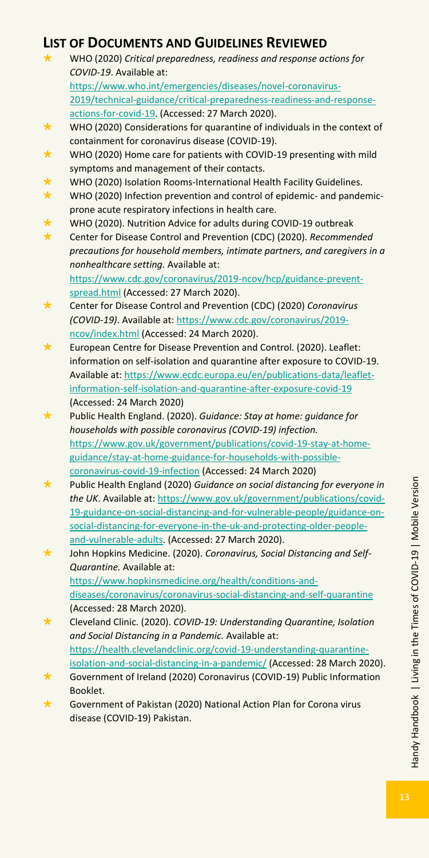## <span id="page-13-0"></span>**LIST OF DOCUMENTS AND GUIDELINES REVIEWED**

- WHO (2020) *Critical preparedness, readiness and response actions for COVID-19*. Available at: [https://www.who.int/emergencies/diseases/novel-coronavirus-](https://www.who.int/emergencies/diseases/novel-coronavirus-2019/technical-guidance/critical-preparedness-readiness-and-response-actions-for-covid-19)[2019/technical-guidance/critical-preparedness-readiness-and-response](https://www.who.int/emergencies/diseases/novel-coronavirus-2019/technical-guidance/critical-preparedness-readiness-and-response-actions-for-covid-19)[actions-for-covid-19.](https://www.who.int/emergencies/diseases/novel-coronavirus-2019/technical-guidance/critical-preparedness-readiness-and-response-actions-for-covid-19) (Accessed: 27 March 2020).
- ★ WHO (2020) Considerations for quarantine of individuals in the context of containment for coronavirus disease (COVID-19).
- $\star$  WHO (2020) Home care for patients with COVID-19 presenting with mild symptoms and management of their contacts.
- WHO (2020) Isolation Rooms-International Health Facility Guidelines.
- ★ WHO (2020) Infection prevention and control of epidemic- and pandemicprone acute respiratory infections in health care.
- WHO (2020). Nutrition Advice for adults during COVID-19 outbreak
- Center for Disease Control and Prevention (CDC) (2020). *Recommended precautions for household members, intimate partners, and caregivers in a nonhealthcare setting.* Available at: [https://www.cdc.gov/coronavirus/2019-ncov/hcp/guidance-prevent](https://www.cdc.gov/coronavirus/2019-ncov/hcp/guidance-prevent-spread.html)[spread.html](https://www.cdc.gov/coronavirus/2019-ncov/hcp/guidance-prevent-spread.html) (Accessed: 27 March 2020).
- Center for Disease Control and Prevention (CDC) (2020) *Coronavirus (COVID-19)*. Available at[: https://www.cdc.gov/coronavirus/2019](https://www.cdc.gov/coronavirus/2019-ncov/index.html) [ncov/index.html](https://www.cdc.gov/coronavirus/2019-ncov/index.html) (Accessed: 24 March 2020).
- European Centre for Disease Prevention and Control. (2020). Leaflet: information on self-isolation and quarantine after exposure to COVID-19. Available at[: https://www.ecdc.europa.eu/en/publications-data/leaflet](https://www.ecdc.europa.eu/en/publications-data/leaflet-information-self-isolation-and-quarantine-after-exposure-covid-19)[information-self-isolation-and-quarantine-after-exposure-covid-19](https://www.ecdc.europa.eu/en/publications-data/leaflet-information-self-isolation-and-quarantine-after-exposure-covid-19) (Accessed: 24 March 2020)
- Public Health England. (2020). *Guidance: Stay at home: guidance for households with possible coronavirus (COVID-19) infection.* [https://www.gov.uk/government/publications/covid-19-stay-at-home](https://www.gov.uk/government/publications/covid-19-stay-at-home-guidance/stay-at-home-guidance-for-households-with-possible-coronavirus-covid-19-infection)[guidance/stay-at-home-guidance-for-households-with-possible](https://www.gov.uk/government/publications/covid-19-stay-at-home-guidance/stay-at-home-guidance-for-households-with-possible-coronavirus-covid-19-infection)[coronavirus-covid-19-infection](https://www.gov.uk/government/publications/covid-19-stay-at-home-guidance/stay-at-home-guidance-for-households-with-possible-coronavirus-covid-19-infection) (Accessed: 24 March 2020)
- Public Health England (2020) *Guidance on social distancing for everyone in the UK*. Available at[: https://www.gov.uk/government/publications/covid-](https://www.gov.uk/government/publications/covid-19-guidance-on-social-distancing-and-for-vulnerable-people/guidance-on-social-distancing-for-everyone-in-the-uk-and-protecting-older-people-and-vulnerable-adults)[19-guidance-on-social-distancing-and-for-vulnerable-people/guidance-on](https://www.gov.uk/government/publications/covid-19-guidance-on-social-distancing-and-for-vulnerable-people/guidance-on-social-distancing-for-everyone-in-the-uk-and-protecting-older-people-and-vulnerable-adults)[social-distancing-for-everyone-in-the-uk-and-protecting-older-people](https://www.gov.uk/government/publications/covid-19-guidance-on-social-distancing-and-for-vulnerable-people/guidance-on-social-distancing-for-everyone-in-the-uk-and-protecting-older-people-and-vulnerable-adults)[and-vulnerable-adults.](https://www.gov.uk/government/publications/covid-19-guidance-on-social-distancing-and-for-vulnerable-people/guidance-on-social-distancing-for-everyone-in-the-uk-and-protecting-older-people-and-vulnerable-adults) (Accessed: 27 March 2020).
- John Hopkins Medicine. (2020). *Coronavirus, Social Distancing and Self-Quarantine.* Available at: [https://www.hopkinsmedicine.org/health/conditions-and](https://www.hopkinsmedicine.org/health/conditions-and-diseases/coronavirus/coronavirus-social-distancing-and-self-quarantine)[diseases/coronavirus/coronavirus-social-distancing-and-self-quarantine](https://www.hopkinsmedicine.org/health/conditions-and-diseases/coronavirus/coronavirus-social-distancing-and-self-quarantine)  (Accessed: 28 March 2020).
- Cleveland Clinic. (2020). *COVID-19: Understanding Quarantine, Isolation and Social Distancing in a Pandemic.* Available at: [https://health.clevelandclinic.org/covid-19-understanding-quarantine](https://health.clevelandclinic.org/covid-19-understanding-quarantine-isolation-and-social-distancing-in-a-pandemic/)[isolation-and-social-distancing-in-a-pandemic/](https://health.clevelandclinic.org/covid-19-understanding-quarantine-isolation-and-social-distancing-in-a-pandemic/) (Accessed: 28 March 2020).
- Government of Ireland (2020) Coronavirus (COVID-19) Public Information Booklet.
- Government of Pakistan (2020) National Action Plan for Corona virus disease (COVID-19) Pakistan.